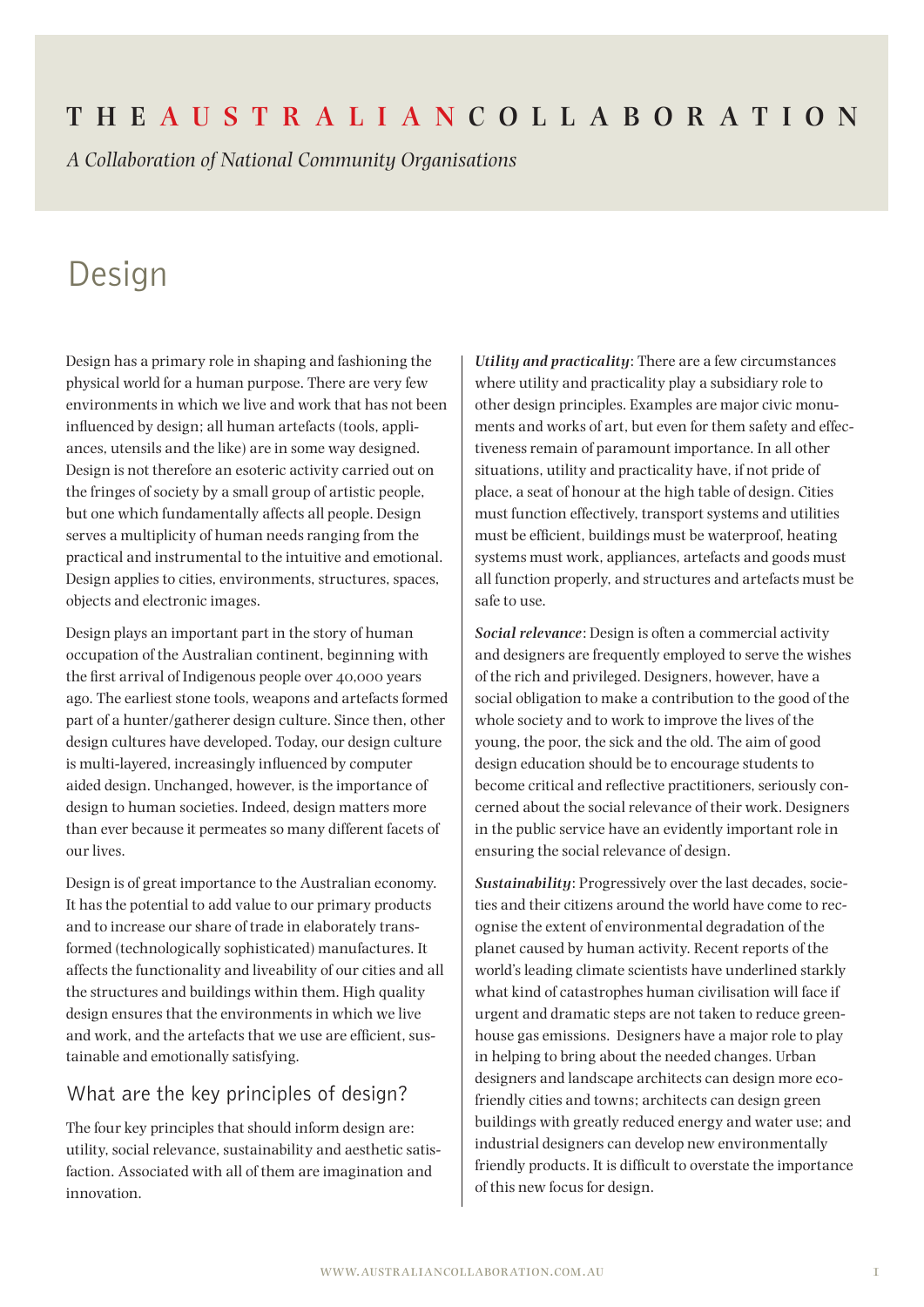# **The Aus t r a l i a n Coll a bor at ion**

*A Collaboration of National Community Organisations*

# Design

Design has a primary role in shaping and fashioning the physical world for a human purpose. There are very few environments in which we live and work that has not been influenced by design; all human artefacts (tools, appliances, utensils and the like) are in some way designed. Design is not therefore an esoteric activity carried out on the fringes of society by a small group of artistic people, but one which fundamentally affects all people. Design serves a multiplicity of human needs ranging from the practical and instrumental to the intuitive and emotional. Design applies to cities, environments, structures, spaces, objects and electronic images.

Design plays an important part in the story of human occupation of the Australian continent, beginning with the first arrival of Indigenous people over 40,000 years ago. The earliest stone tools, weapons and artefacts formed part of a hunter/gatherer design culture. Since then, other design cultures have developed. Today, our design culture is multi-layered, increasingly influenced by computer aided design. Unchanged, however, is the importance of design to human societies. Indeed, design matters more than ever because it permeates so many different facets of our lives.

Design is of great importance to the Australian economy. It has the potential to add value to our primary products and to increase our share of trade in elaborately transformed (technologically sophisticated) manufactures. It affects the functionality and liveability of our cities and all the structures and buildings within them. High quality design ensures that the environments in which we live and work, and the artefacts that we use are efficient, sustainable and emotionally satisfying.

## What are the key principles of design?

The four key principles that should inform design are: utility, social relevance, sustainability and aesthetic satisfaction. Associated with all of them are imagination and innovation.

*Utility and practicality*: There are a few circumstances where utility and practicality play a subsidiary role to other design principles. Examples are major civic monuments and works of art, but even for them safety and effectiveness remain of paramount importance. In all other situations, utility and practicality have, if not pride of place, a seat of honour at the high table of design. Cities must function effectively, transport systems and utilities must be efficient, buildings must be waterproof, heating systems must work, appliances, artefacts and goods must all function properly, and structures and artefacts must be safe to use.

*Social relevance*: Design is often a commercial activity and designers are frequently employed to serve the wishes of the rich and privileged. Designers, however, have a social obligation to make a contribution to the good of the whole society and to work to improve the lives of the young, the poor, the sick and the old. The aim of good design education should be to encourage students to become critical and reflective practitioners, seriously concerned about the social relevance of their work. Designers in the public service have an evidently important role in ensuring the social relevance of design.

*Sustainability*: Progressively over the last decades, societies and their citizens around the world have come to recognise the extent of environmental degradation of the planet caused by human activity. Recent reports of the world's leading climate scientists have underlined starkly what kind of catastrophes human civilisation will face if urgent and dramatic steps are not taken to reduce greenhouse gas emissions. Designers have a major role to play in helping to bring about the needed changes. Urban designers and landscape architects can design more ecofriendly cities and towns; architects can design green buildings with greatly reduced energy and water use; and industrial designers can develop new environmentally friendly products. It is difficult to overstate the importance of this new focus for design.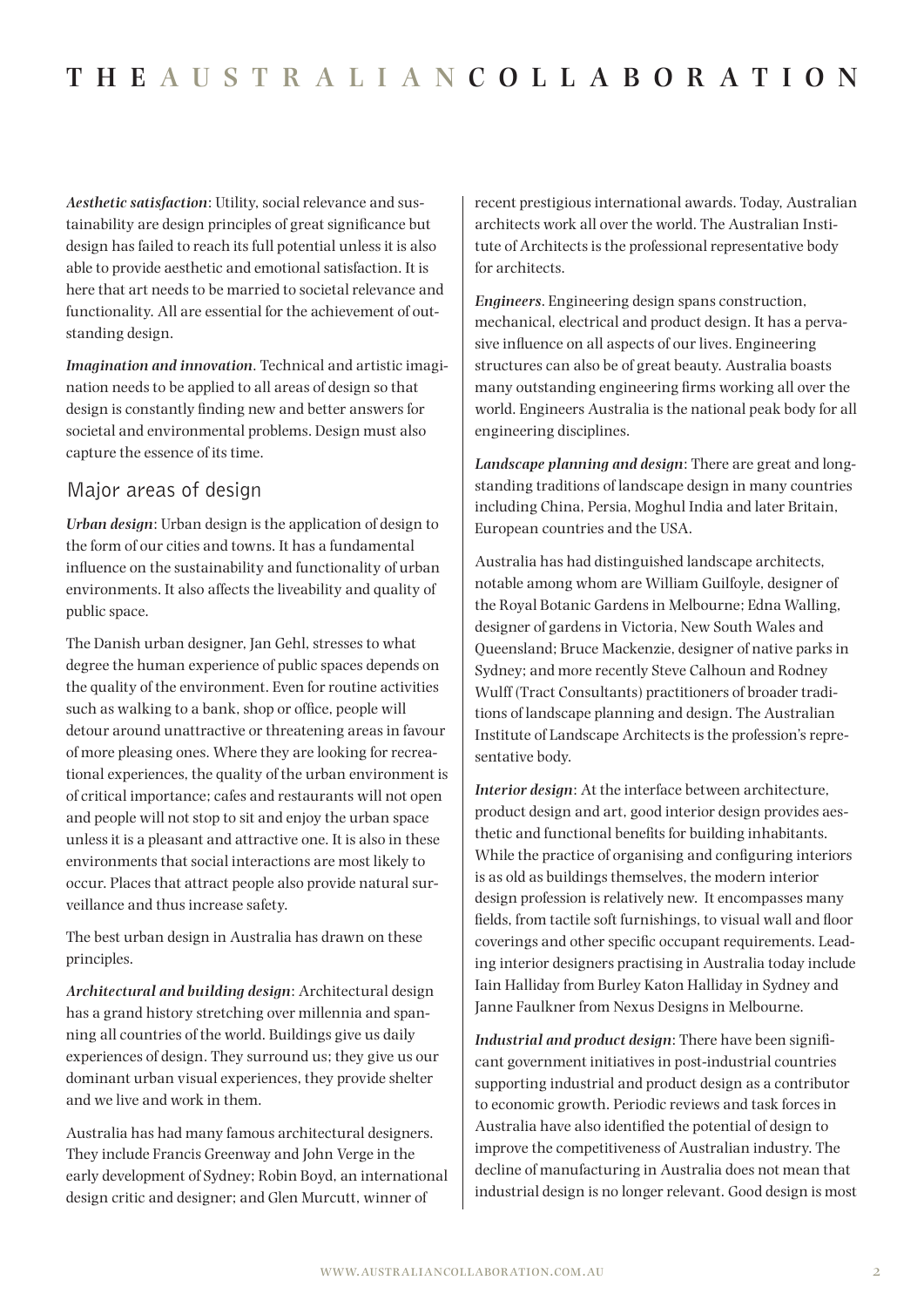*Aesthetic satisfaction*: Utility, social relevance and sustainability are design principles of great significance but design has failed to reach its full potential unless it is also able to provide aesthetic and emotional satisfaction. It is here that art needs to be married to societal relevance and functionality. All are essential for the achievement of outstanding design.

*Imagination and innovation*. Technical and artistic imagination needs to be applied to all areas of design so that design is constantly finding new and better answers for societal and environmental problems. Design must also capture the essence of its time.

## Major areas of design

*Urban design*: Urban design is the application of design to the form of our cities and towns. It has a fundamental influence on the sustainability and functionality of urban environments. It also affects the liveability and quality of public space.

The Danish urban designer, Jan Gehl, stresses to what degree the human experience of public spaces depends on the quality of the environment. Even for routine activities such as walking to a bank, shop or office, people will detour around unattractive or threatening areas in favour of more pleasing ones. Where they are looking for recreational experiences, the quality of the urban environment is of critical importance; cafes and restaurants will not open and people will not stop to sit and enjoy the urban space unless it is a pleasant and attractive one. It is also in these environments that social interactions are most likely to occur. Places that attract people also provide natural surveillance and thus increase safety.

The best urban design in Australia has drawn on these principles.

*Architectural and building design*: Architectural design has a grand history stretching over millennia and spanning all countries of the world. Buildings give us daily experiences of design. They surround us; they give us our dominant urban visual experiences, they provide shelter and we live and work in them.

Australia has had many famous architectural designers. They include Francis Greenway and John Verge in the early development of Sydney; Robin Boyd, an international design critic and designer; and Glen Murcutt, winner of

recent prestigious international awards. Today, Australian architects work all over the world. The Australian Institute of Architects is the professional representative body for architects.

*Engineers*. Engineering design spans construction, mechanical, electrical and product design. It has a pervasive influence on all aspects of our lives. Engineering structures can also be of great beauty. Australia boasts many outstanding engineering firms working all over the world. Engineers Australia is the national peak body for all engineering disciplines.

*Landscape planning and design*: There are great and longstanding traditions of landscape design in many countries including China, Persia, Moghul India and later Britain, European countries and the USA.

Australia has had distinguished landscape architects, notable among whom are William Guilfoyle, designer of the Royal Botanic Gardens in Melbourne; Edna Walling, designer of gardens in Victoria, New South Wales and Queensland; Bruce Mackenzie, designer of native parks in Sydney; and more recently Steve Calhoun and Rodney Wulff (Tract Consultants) practitioners of broader traditions of landscape planning and design. The Australian Institute of Landscape Architects is the profession's representative body.

*Interior design*: At the interface between architecture, product design and art, good interior design provides aesthetic and functional benefits for building inhabitants. While the practice of organising and configuring interiors is as old as buildings themselves, the modern interior design profession is relatively new. It encompasses many fields, from tactile soft furnishings, to visual wall and floor coverings and other specific occupant requirements. Leading interior designers practising in Australia today include Iain Halliday from Burley Katon Halliday in Sydney and Janne Faulkner from Nexus Designs in Melbourne.

*Industrial and product design*: There have been significant government initiatives in post-industrial countries supporting industrial and product design as a contributor to economic growth. Periodic reviews and task forces in Australia have also identified the potential of design to improve the competitiveness of Australian industry. The decline of manufacturing in Australia does not mean that industrial design is no longer relevant. Good design is most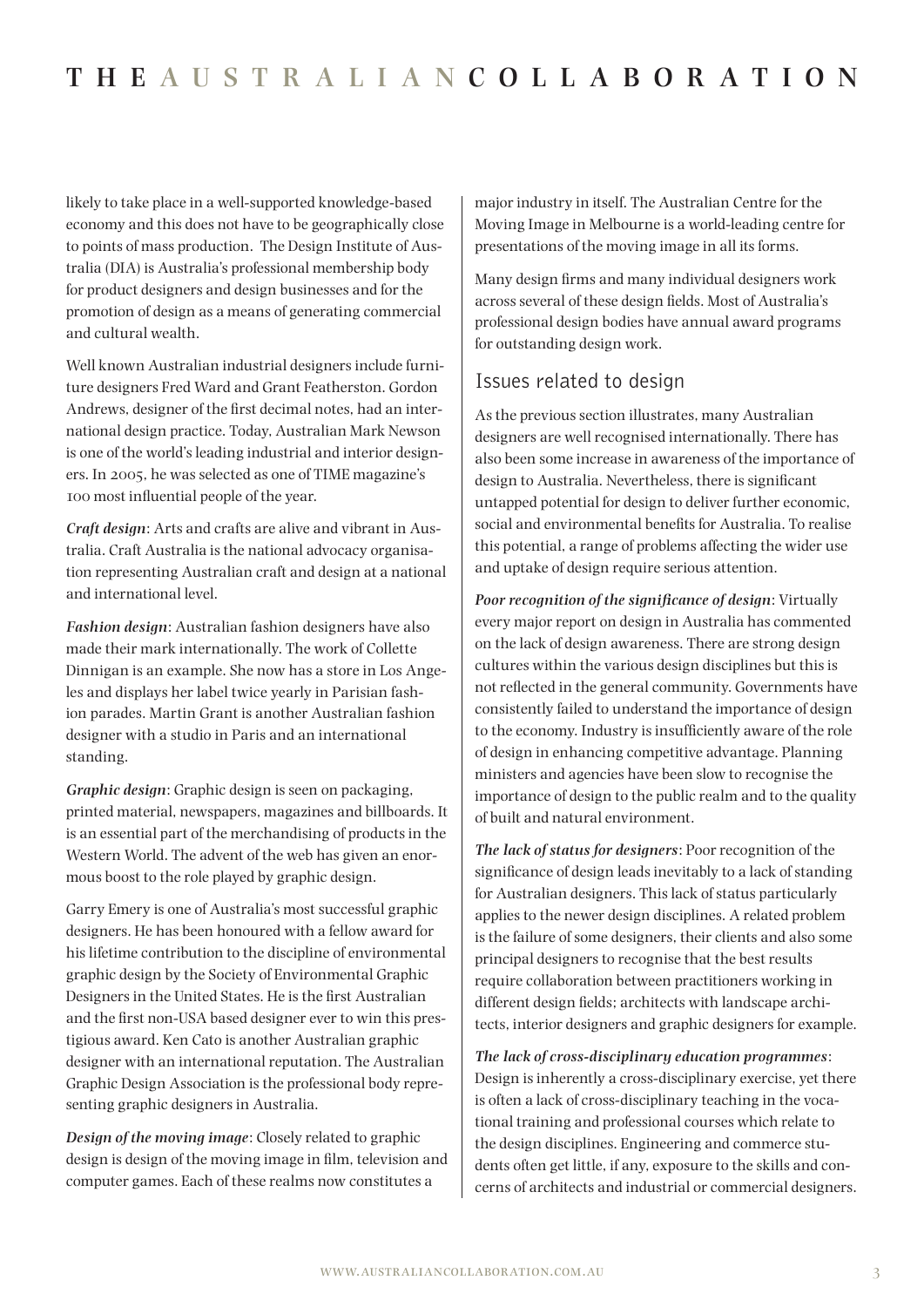likely to take place in a well-supported knowledge-based economy and this does not have to be geographically close to points of mass production. The Design Institute of Australia (DIA) is Australia's professional membership body for product designers and design businesses and for the promotion of design as a means of generating commercial and cultural wealth.

Well known Australian industrial designers include furniture designers Fred Ward and Grant Featherston. Gordon Andrews, designer of the first decimal notes, had an international design practice. Today, Australian Mark Newson is one of the world's leading industrial and interior designers. In 2005, he was selected as one of TIME magazine's 100 most influential people of the year.

*Craft design*: Arts and crafts are alive and vibrant in Australia. Craft Australia is the national advocacy organisation representing Australian craft and design at a national and international level.

*Fashion design*: Australian fashion designers have also made their mark internationally. The work of Collette Dinnigan is an example. She now has a store in Los Angeles and displays her label twice yearly in Parisian fashion parades. Martin Grant is another Australian fashion designer with a studio in Paris and an international standing.

*Graphic design*: Graphic design is seen on packaging, printed material, newspapers, magazines and billboards. It is an essential part of the merchandising of products in the Western World. The advent of the web has given an enormous boost to the role played by graphic design.

Garry Emery is one of Australia's most successful graphic designers. He has been honoured with a fellow award for his lifetime contribution to the discipline of environmental graphic design by the Society of Environmental Graphic Designers in the United States. He is the first Australian and the first non-USA based designer ever to win this prestigious award. Ken Cato is another Australian graphic designer with an international reputation. The Australian Graphic Design Association is the professional body representing graphic designers in Australia.

*Design of the moving image*: Closely related to graphic design is design of the moving image in film, television and computer games. Each of these realms now constitutes a

major industry in itself. The Australian Centre for the Moving Image in Melbourne is a world-leading centre for presentations of the moving image in all its forms.

Many design firms and many individual designers work across several of these design fields. Most of Australia's professional design bodies have annual award programs for outstanding design work.

#### Issues related to design

As the previous section illustrates, many Australian designers are well recognised internationally. There has also been some increase in awareness of the importance of design to Australia. Nevertheless, there is significant untapped potential for design to deliver further economic, social and environmental benefits for Australia. To realise this potential, a range of problems affecting the wider use and uptake of design require serious attention.

*Poor recognition of the significance of design*: Virtually every major report on design in Australia has commented on the lack of design awareness. There are strong design cultures within the various design disciplines but this is not reflected in the general community. Governments have consistently failed to understand the importance of design to the economy. Industry is insufficiently aware of the role of design in enhancing competitive advantage. Planning ministers and agencies have been slow to recognise the importance of design to the public realm and to the quality of built and natural environment.

*The lack of status for designers*: Poor recognition of the significance of design leads inevitably to a lack of standing for Australian designers. This lack of status particularly applies to the newer design disciplines. A related problem is the failure of some designers, their clients and also some principal designers to recognise that the best results require collaboration between practitioners working in different design fields; architects with landscape architects, interior designers and graphic designers for example.

*The lack of cross-disciplinary education programmes*: Design is inherently a cross-disciplinary exercise, yet there is often a lack of cross-disciplinary teaching in the vocational training and professional courses which relate to the design disciplines. Engineering and commerce students often get little, if any, exposure to the skills and concerns of architects and industrial or commercial designers.